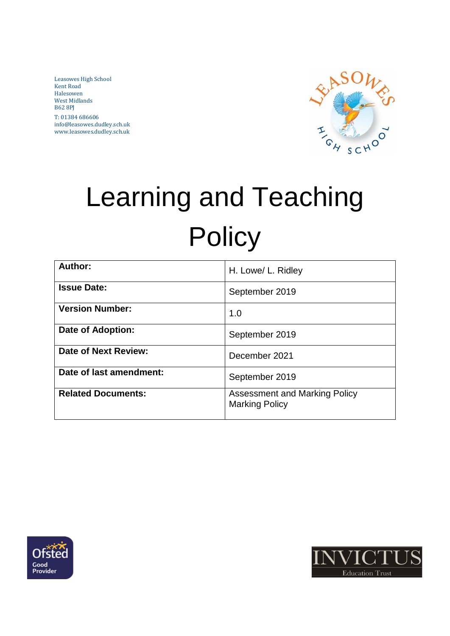Leasowes High School Kent Road Halesowen West Midlands B62 8PJ T: 01384 686606 info@leasowes.dudley.sch.uk www.leasowes.dudley.sch.uk



# Learning and Teaching **Policy**

| Author:                   | H. Lowe/ L. Ridley                                     |
|---------------------------|--------------------------------------------------------|
| <b>Issue Date:</b>        | September 2019                                         |
| <b>Version Number:</b>    | 1.0                                                    |
| <b>Date of Adoption:</b>  | September 2019                                         |
| Date of Next Review:      | December 2021                                          |
| Date of last amendment:   | September 2019                                         |
| <b>Related Documents:</b> | Assessment and Marking Policy<br><b>Marking Policy</b> |



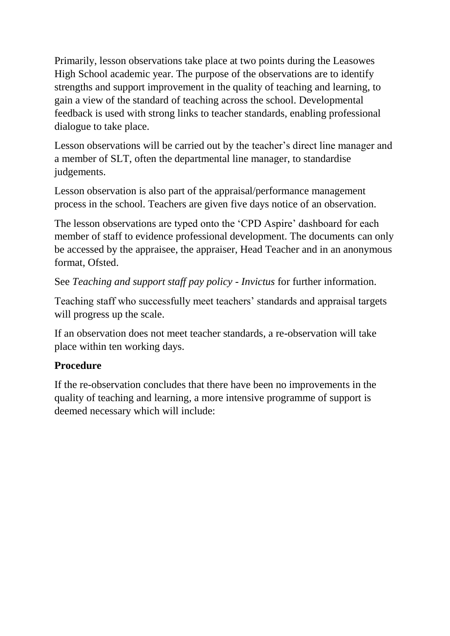Primarily, lesson observations take place at two points during the Leasowes High School academic year. The purpose of the observations are to identify strengths and support improvement in the quality of teaching and learning, to gain a view of the standard of teaching across the school. Developmental feedback is used with strong links to teacher standards, enabling professional dialogue to take place.

Lesson observations will be carried out by the teacher's direct line manager and a member of SLT, often the departmental line manager, to standardise judgements.

Lesson observation is also part of the appraisal/performance management process in the school. Teachers are given five days notice of an observation.

The lesson observations are typed onto the 'CPD Aspire' dashboard for each member of staff to evidence professional development. The documents can only be accessed by the appraisee, the appraiser, Head Teacher and in an anonymous format, Ofsted.

See *Teaching and support staff pay policy - Invictus* for further information.

Teaching staff who successfully meet teachers' standards and appraisal targets will progress up the scale.

If an observation does not meet teacher standards, a re-observation will take place within ten working days.

### **Procedure**

If the re-observation concludes that there have been no improvements in the quality of teaching and learning, a more intensive programme of support is deemed necessary which will include: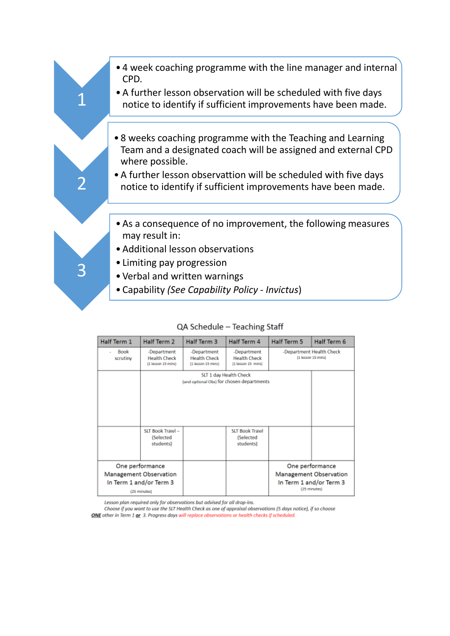

#### QA Schedule - Teaching Staff

| Half Term 1      | Half Term 2                                                                                 | Half Term 3                                              | Half Term 4                                                         | Half Term 5 | Half Term 6                                                                                 |
|------------------|---------------------------------------------------------------------------------------------|----------------------------------------------------------|---------------------------------------------------------------------|-------------|---------------------------------------------------------------------------------------------|
| Baak<br>scrutiny | -Department<br><b>Health Check</b><br>(1 lesson 15 mins)                                    | -Department<br><b>Health Check</b><br>(1 lesson 15 mins) | -Department<br><b>Health Check</b><br>[1 lesson 15 mins]            |             | -Department Health Check<br>(1 lesson 15 mins)                                              |
|                  |                                                                                             |                                                          | SLT 1 day Health Check<br>(and optional Obs) for chosen departments |             |                                                                                             |
|                  | SLT Book Trawl-<br><i>(Selected</i><br>students)                                            |                                                          | <b>SLT Book Trawl</b><br><i><b>(Selected</b></i><br>students)       |             |                                                                                             |
|                  | One performance<br><b>Management Observation</b><br>In Term 1 and/or Term 3<br>(25 minutes) |                                                          |                                                                     |             | One performance<br><b>Management Observation</b><br>In Term 1 and/or Term 3<br>(25 minutes) |

Lesson plan required only for observations but advised for all drop-ins.

Choose if you want to use the SLT Health Check as one of appraisal observations (5 days notice), if so choose ONE other in Term 1 or 3. Progress days will replace observations or health checks if scheduled.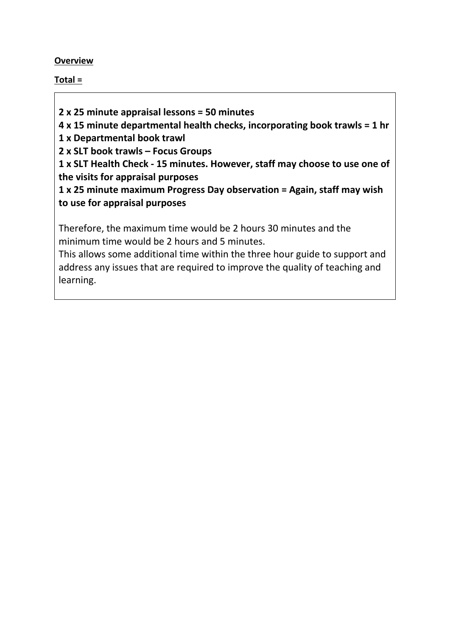#### **Overview**

#### **Total =**

**2 x 25 minute appraisal lessons = 50 minutes** 

**4 x 15 minute departmental health checks, incorporating book trawls = 1 hr**

**1 x Departmental book trawl**

**2 x SLT book trawls – Focus Groups** 

**1 x SLT Health Check - 15 minutes. However, staff may choose to use one of the visits for appraisal purposes**

**1 x 25 minute maximum Progress Day observation = Again, staff may wish to use for appraisal purposes**

Therefore, the maximum time would be 2 hours 30 minutes and the minimum time would be 2 hours and 5 minutes.

This allows some additional time within the three hour guide to support and address any issues that are required to improve the quality of teaching and learning.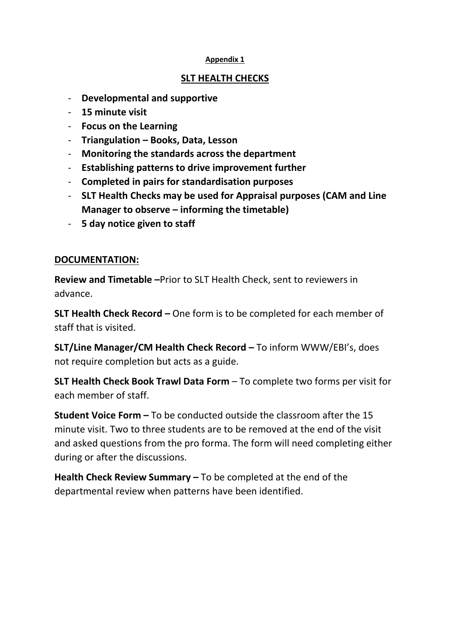#### **SLT HEALTH CHECKS**

- **Developmental and supportive**
- **15 minute visit**
- **Focus on the Learning**
- **Triangulation – Books, Data, Lesson**
- **Monitoring the standards across the department**
- **Establishing patterns to drive improvement further**
- **Completed in pairs for standardisation purposes**
- **SLT Health Checks may be used for Appraisal purposes (CAM and Line Manager to observe – informing the timetable)**
- **5 day notice given to staff**

#### **DOCUMENTATION:**

**Review and Timetable –**Prior to SLT Health Check, sent to reviewers in advance.

**SLT Health Check Record –** One form is to be completed for each member of staff that is visited.

**SLT/Line Manager/CM Health Check Record –** To inform WWW/EBI's, does not require completion but acts as a guide.

**SLT Health Check Book Trawl Data Form** – To complete two forms per visit for each member of staff.

**Student Voice Form –** To be conducted outside the classroom after the 15 minute visit. Two to three students are to be removed at the end of the visit and asked questions from the pro forma. The form will need completing either during or after the discussions.

**Health Check Review Summary –** To be completed at the end of the departmental review when patterns have been identified.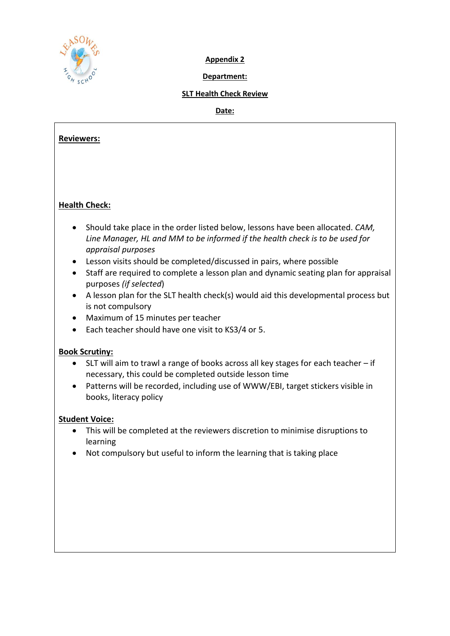

#### **Department:**

#### **SLT Health Check Review**

**Date:** 

# **Reviewers: Health Check:**  • Should take place in the order listed below, lessons have been allocated. *CAM, Line Manager, HL and MM to be informed if the health check is to be used for appraisal purposes* • Lesson visits should be completed/discussed in pairs, where possible • Staff are required to complete a lesson plan and dynamic seating plan for appraisal purposes *(if selected*) • A lesson plan for the SLT health check(s) would aid this developmental process but is not compulsory • Maximum of 15 minutes per teacher • Each teacher should have one visit to KS3/4 or 5. **Book Scrutiny:** • SLT will aim to trawl a range of books across all key stages for each teacher – if necessary, this could be completed outside lesson time • Patterns will be recorded, including use of WWW/EBI, target stickers visible in books, literacy policy **Student Voice:**  • This will be completed at the reviewers discretion to minimise disruptions to learning • Not compulsory but useful to inform the learning that is taking place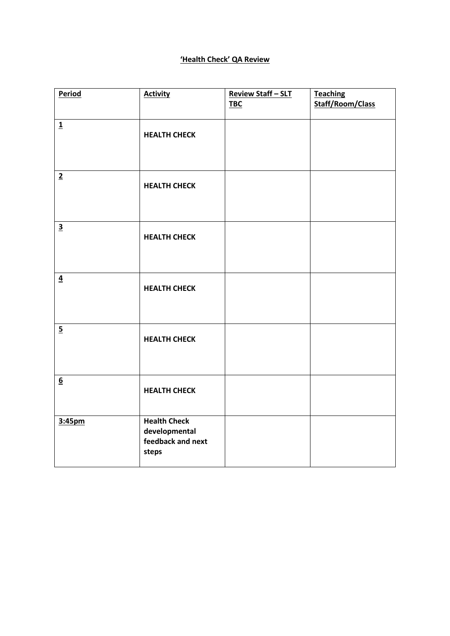#### **'Health Check' QA Review**

| Period                  | <b>Activity</b>                                                    | <b>Review Staff-SLT</b><br><b>TBC</b> | <b>Teaching</b><br><b>Staff/Room/Class</b> |
|-------------------------|--------------------------------------------------------------------|---------------------------------------|--------------------------------------------|
| $\overline{\mathbf{1}}$ | <b>HEALTH CHECK</b>                                                |                                       |                                            |
| $\overline{2}$          | <b>HEALTH CHECK</b>                                                |                                       |                                            |
| $\overline{\mathbf{3}}$ | <b>HEALTH CHECK</b>                                                |                                       |                                            |
| $\overline{4}$          | <b>HEALTH CHECK</b>                                                |                                       |                                            |
| $\overline{5}$          | <b>HEALTH CHECK</b>                                                |                                       |                                            |
| $\underline{6}$         | <b>HEALTH CHECK</b>                                                |                                       |                                            |
| 3:45pm                  | <b>Health Check</b><br>developmental<br>feedback and next<br>steps |                                       |                                            |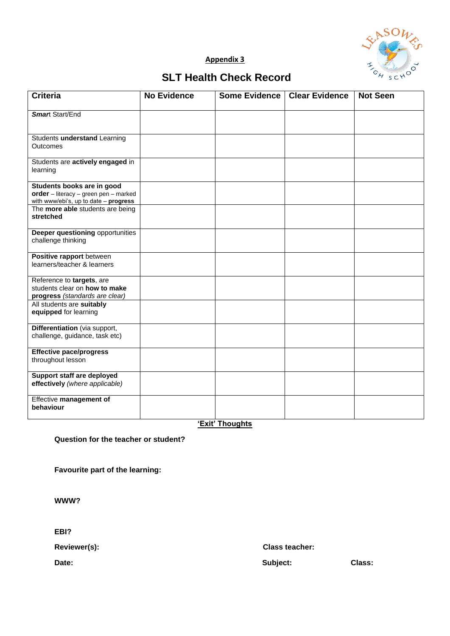

## **SLT Health Check Record**

| <b>Criteria</b>                                                                                              | <b>No Evidence</b> | <b>Some Evidence</b> | <b>Clear Evidence</b> | <b>Not Seen</b> |
|--------------------------------------------------------------------------------------------------------------|--------------------|----------------------|-----------------------|-----------------|
| <b>Smart Start/End</b>                                                                                       |                    |                      |                       |                 |
| Students understand Learning<br>Outcomes                                                                     |                    |                      |                       |                 |
| Students are actively engaged in<br>learning                                                                 |                    |                      |                       |                 |
| Students books are in good<br>order - literacy - green pen - marked<br>with www/ebi's, up to date - progress |                    |                      |                       |                 |
| The more able students are being<br>stretched                                                                |                    |                      |                       |                 |
| Deeper questioning opportunities<br>challenge thinking                                                       |                    |                      |                       |                 |
| Positive rapport between<br>learners/teacher & learners                                                      |                    |                      |                       |                 |
| Reference to targets, are<br>students clear on how to make<br>progress (standards are clear)                 |                    |                      |                       |                 |
| All students are suitably<br>equipped for learning                                                           |                    |                      |                       |                 |
| Differentiation (via support,<br>challenge, guidance, task etc)                                              |                    |                      |                       |                 |
| <b>Effective pace/progress</b><br>throughout lesson                                                          |                    |                      |                       |                 |
| Support staff are deployed<br>effectively (where applicable)                                                 |                    |                      |                       |                 |
| Effective management of<br>behaviour                                                                         |                    |                      |                       |                 |

**'Exit' Thoughts**

**Question for the teacher or student?**

**Favourite part of the learning:** 

**WWW?**

**EBI?**

**Reviewer(s): Class teacher:**

Date: Class: Class: Class: Class: Class: Class: Class: Class: Class: Class: Class: Class: Class: Class: Class: Class: Class: Class: Class: Class: Class: Class: Class: Class: Class: Class: Class: Class: Class: Class: Class: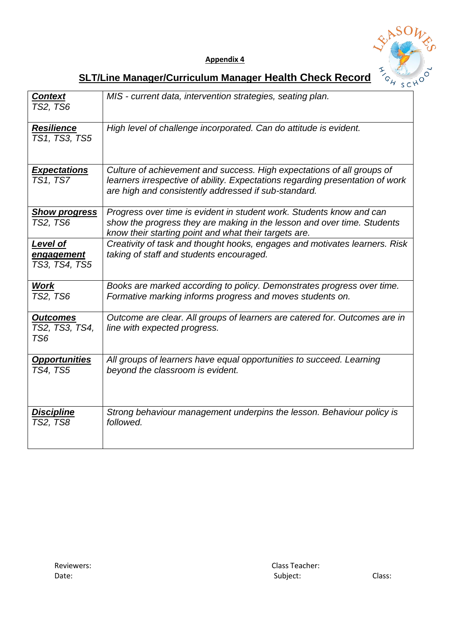



# **SLT/Line Manager/Curriculum Manager Health Check Record**

| <b>Context</b><br><b>TS2, TS6</b>        | MIS - current data, intervention strategies, seating plan.                                                                                                                                                      |
|------------------------------------------|-----------------------------------------------------------------------------------------------------------------------------------------------------------------------------------------------------------------|
| <b>Resilience</b><br>TS1, TS3, TS5       | High level of challenge incorporated. Can do attitude is evident.                                                                                                                                               |
| <b>Expectations</b><br><b>TS1, TS7</b>   | Culture of achievement and success. High expectations of all groups of<br>learners irrespective of ability. Expectations regarding presentation of work<br>are high and consistently addressed if sub-standard. |
| <b>Show progress</b><br><b>TS2, TS6</b>  | Progress over time is evident in student work. Students know and can<br>show the progress they are making in the lesson and over time. Students<br>know their starting point and what their targets are.        |
| Level of<br>engagement<br>TS3, TS4, TS5  | Creativity of task and thought hooks, engages and motivates learners. Risk<br>taking of staff and students encouraged.                                                                                          |
| <b>Work</b><br><b>TS2, TS6</b>           | Books are marked according to policy. Demonstrates progress over time.<br>Formative marking informs progress and moves students on.                                                                             |
| <b>Outcomes</b><br>TS2, TS3, TS4,<br>TS6 | Outcome are clear. All groups of learners are catered for. Outcomes are in<br>line with expected progress.                                                                                                      |
| <b>Opportunities</b><br><b>TS4, TS5</b>  | All groups of learners have equal opportunities to succeed. Learning<br>beyond the classroom is evident.                                                                                                        |
| <b>Discipline</b><br><b>TS2, TS8</b>     | Strong behaviour management underpins the lesson. Behaviour policy is<br>followed.                                                                                                                              |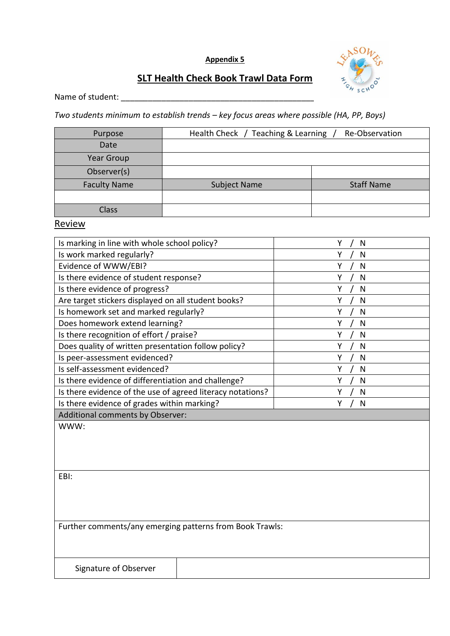

#### **SLT Health Check Book Trawl Data Form**

Name of student: \_\_\_\_\_\_\_\_\_\_\_\_\_\_\_\_\_\_\_\_\_\_\_\_\_\_\_\_\_\_\_\_\_\_\_\_\_\_\_\_\_\_\_\_\_\_\_\_\_

*Two students minimum to establish trends – key focus areas where possible (HA, PP, Boys)*

| Purpose             | Health Check / Teaching & Learning<br>Re-Observation |                   |  |
|---------------------|------------------------------------------------------|-------------------|--|
| Date                |                                                      |                   |  |
| Year Group          |                                                      |                   |  |
| Observer(s)         |                                                      |                   |  |
| <b>Faculty Name</b> | Subject Name                                         | <b>Staff Name</b> |  |
|                     |                                                      |                   |  |
| <b>Class</b>        |                                                      |                   |  |

**Review** 

| Is marking in line with whole school policy?               | N |
|------------------------------------------------------------|---|
| Is work marked regularly?                                  | N |
| Evidence of WWW/EBI?                                       | N |
| Is there evidence of student response?                     | N |
| Is there evidence of progress?                             | N |
| Are target stickers displayed on all student books?        | N |
| Is homework set and marked regularly?                      | N |
| Does homework extend learning?                             | N |
| Is there recognition of effort / praise?                   | N |
| Does quality of written presentation follow policy?        | N |
| Is peer-assessment evidenced?                              | N |
| Is self-assessment evidenced?                              | N |
| Is there evidence of differentiation and challenge?        | N |
| Is there evidence of the use of agreed literacy notations? | N |
| Is there evidence of grades within marking?                | N |
| Additional comments by Observer:                           |   |
| WWW:                                                       |   |
|                                                            |   |
|                                                            |   |

EBI:

Further comments/any emerging patterns from Book Trawls:

Signature of Observer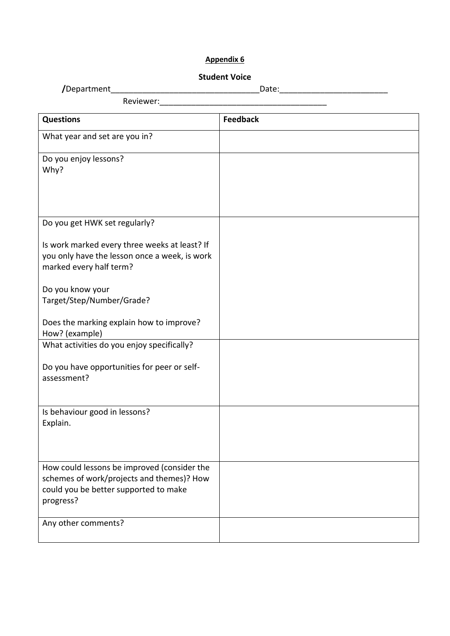#### **Student Voice**

| /Department | ucc. |
|-------------|------|
|             |      |

| Reviewer:                                                                                                                                      |                 |
|------------------------------------------------------------------------------------------------------------------------------------------------|-----------------|
| <b>Questions</b>                                                                                                                               | <b>Feedback</b> |
| What year and set are you in?                                                                                                                  |                 |
| Do you enjoy lessons?<br>Why?                                                                                                                  |                 |
| Do you get HWK set regularly?                                                                                                                  |                 |
| Is work marked every three weeks at least? If<br>you only have the lesson once a week, is work<br>marked every half term?                      |                 |
| Do you know your<br>Target/Step/Number/Grade?                                                                                                  |                 |
| Does the marking explain how to improve?<br>How? (example)                                                                                     |                 |
| What activities do you enjoy specifically?                                                                                                     |                 |
| Do you have opportunities for peer or self-<br>assessment?                                                                                     |                 |
| Is behaviour good in lessons?<br>Explain.                                                                                                      |                 |
| How could lessons be improved (consider the<br>schemes of work/projects and themes)? How<br>could you be better supported to make<br>progress? |                 |
| Any other comments?                                                                                                                            |                 |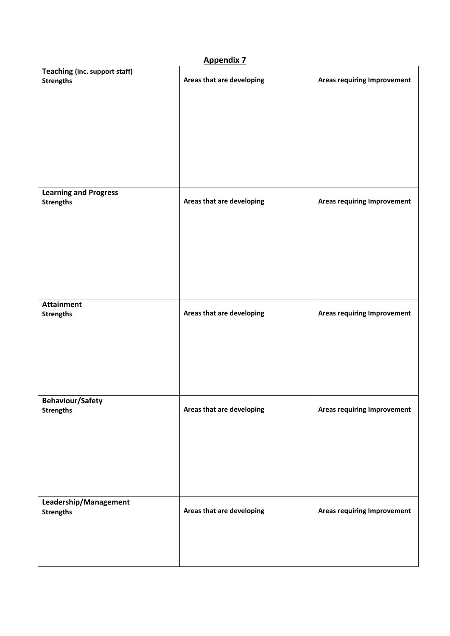| <b>Appendix 7</b>                                 |                           |                                    |  |  |
|---------------------------------------------------|---------------------------|------------------------------------|--|--|
| Teaching (inc. support staff)<br><b>Strengths</b> | Areas that are developing | <b>Areas requiring Improvement</b> |  |  |
|                                                   |                           |                                    |  |  |
|                                                   |                           |                                    |  |  |
|                                                   |                           |                                    |  |  |
|                                                   |                           |                                    |  |  |
|                                                   |                           |                                    |  |  |
| <b>Learning and Progress</b>                      | Areas that are developing | <b>Areas requiring Improvement</b> |  |  |
| <b>Strengths</b>                                  |                           |                                    |  |  |
|                                                   |                           |                                    |  |  |
|                                                   |                           |                                    |  |  |
|                                                   |                           |                                    |  |  |
|                                                   |                           |                                    |  |  |
| <b>Attainment</b><br><b>Strengths</b>             | Areas that are developing | <b>Areas requiring Improvement</b> |  |  |
|                                                   |                           |                                    |  |  |
|                                                   |                           |                                    |  |  |
|                                                   |                           |                                    |  |  |
|                                                   |                           |                                    |  |  |
| <b>Behaviour/Safety</b><br><b>Strengths</b>       | Areas that are developing | <b>Areas requiring Improvement</b> |  |  |
|                                                   |                           |                                    |  |  |
|                                                   |                           |                                    |  |  |
|                                                   |                           |                                    |  |  |
|                                                   |                           |                                    |  |  |
| Leadership/Management                             |                           |                                    |  |  |
| <b>Strengths</b>                                  | Areas that are developing | <b>Areas requiring Improvement</b> |  |  |
|                                                   |                           |                                    |  |  |
|                                                   |                           |                                    |  |  |